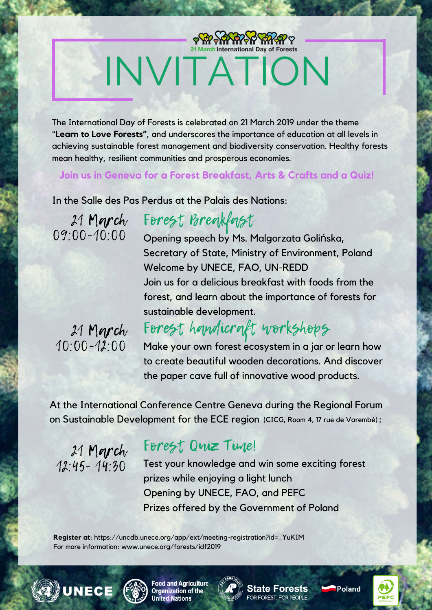# INVITATION

The International Day of Forests is celebrated on 21 March 2019 under the theme "**Learn to Love Forests"**, and underscores the importance of education at all levels in achieving sustainable forest management and biodiversity conservation. Healthy forests mean healthy, resilient communities and prosperous economies.

**Join us in Geneva for a Forest Breakfast, Arts & Crafts and a Quiz!**

In the Salle des Pas Perdus at the Palais des Nations:

21 March  $09.00 - 10.00$  Forest Breakfast

Opening speech by Ms. Malgorzata Golińska, Secretary of State, Ministry of Environment, Poland Welcome by UNECE, FAO, UN-REDD Join us for a delicious breakfast with foods from the forest, and learn about the importance of forests for sustainable development.

21 March 10:00-12:00

## Forest handicraft workshops

Make your own forest ecosystem in a jar or learn how to create beautiful wooden decorations. And discover the paper cave full of innovative wood products.

At the International Conference Centre Geneva during the Regional Forum on Sustainable Development for the ECE region **(**CICG, Room 4, 17 rue de [Varembé\)](https://uncdb.unece.org/app/ext/meeting-registration?id=_YuKIM):

21 March 12:45- 14:30

### Forest Quiz Time!

Test your knowledge and win some exciting forest prizes while enjoying a light lunch Opening by UNECE, FAO, and PEFC Prizes offered by the Government of Poland

**Register at**: [https://uncdb.unece.org/app/ext/meeting-registration?id=\\_YuKIM](https://uncdb.unece.org/app/ext/meeting-registration?id=_YuKIM) For more information: www.unece.org/forests/idf2019





**Food and Agriculture Organization of the nited Nations** 



**State Forests** FOR FOREST, FOR PEOPLE